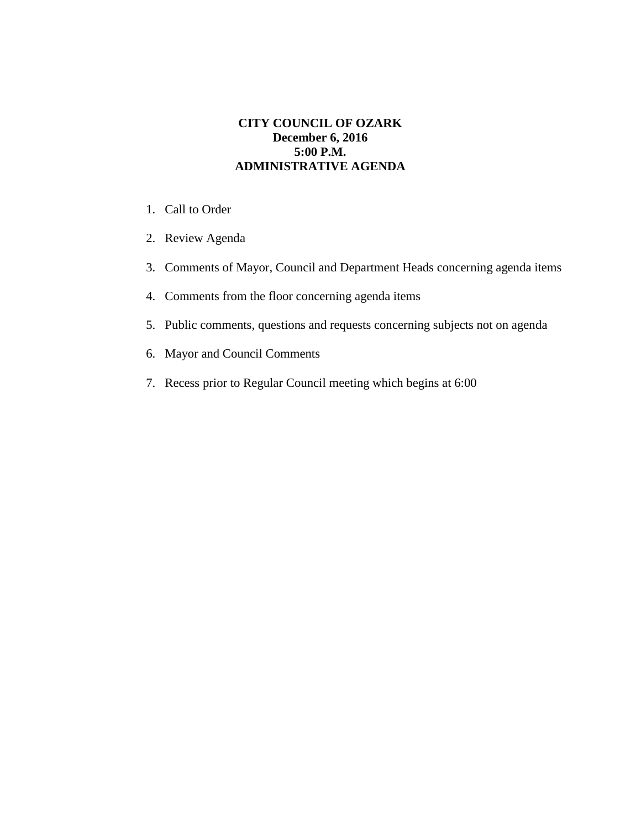## **CITY COUNCIL OF OZARK December 6, 2016 5:00 P.M. ADMINISTRATIVE AGENDA**

- 1. Call to Order
- 2. Review Agenda
- 3. Comments of Mayor, Council and Department Heads concerning agenda items
- 4. Comments from the floor concerning agenda items
- 5. Public comments, questions and requests concerning subjects not on agenda
- 6. Mayor and Council Comments
- 7. Recess prior to Regular Council meeting which begins at 6:00